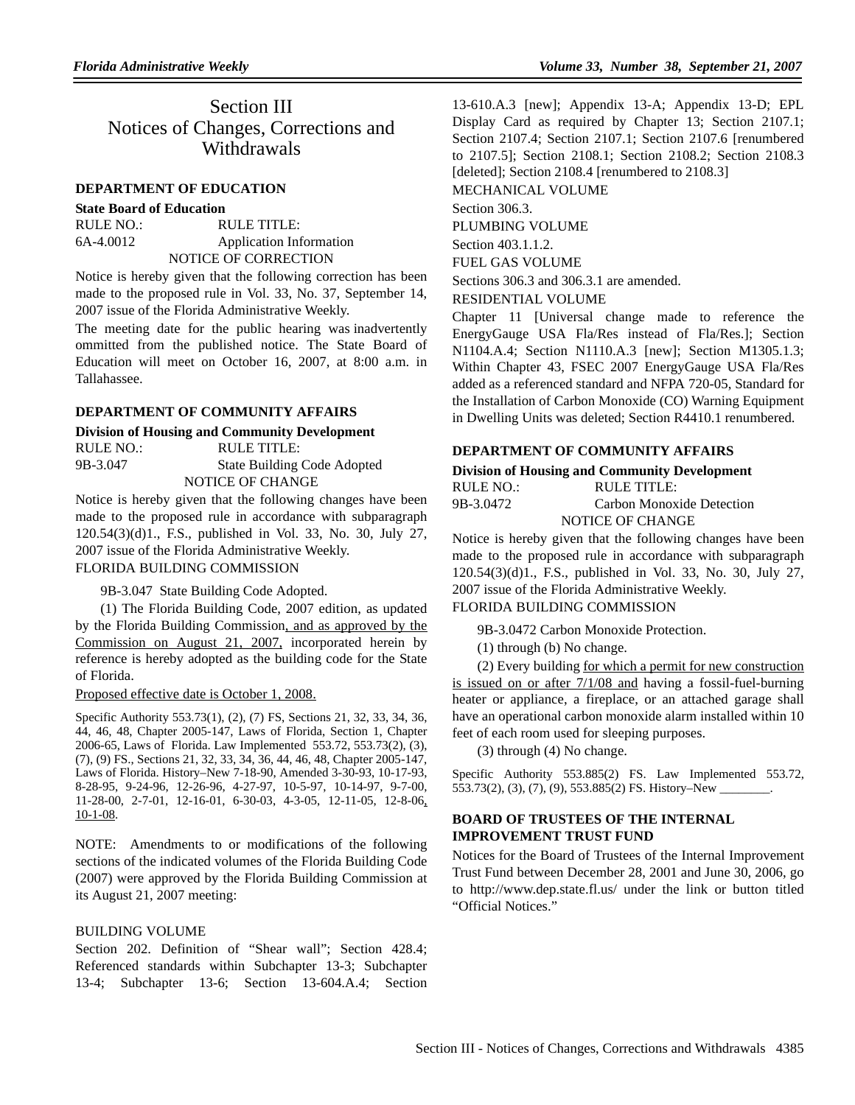Section III Notices of Changes, Corrections and **Withdrawals** 

#### **DEPARTMENT OF EDUCATION**

#### **State Board of Education**

| RULE NO.: | RULE TITLE:             |
|-----------|-------------------------|
| 6A-4.0012 | Application Information |
|           | NOTICE OF CORRECTION    |

Notice is hereby given that the following correction has been made to the proposed rule in Vol. 33, No. 37, September 14, 2007 issue of the Florida Administrative Weekly.

The meeting date for the public hearing was inadvertently ommitted from the published notice. The State Board of Education will meet on October 16, 2007, at 8:00 a.m. in Tallahassee.

#### **DEPARTMENT OF COMMUNITY AFFAIRS**

## **Division of Housing and Community Development**

| RULE NO.: | RULE TITLE:                        |
|-----------|------------------------------------|
| 9B-3.047  | <b>State Building Code Adopted</b> |
|           | NOTICE OF CHANGE                   |

Notice is hereby given that the following changes have been made to the proposed rule in accordance with subparagraph 120.54(3)(d)1., F.S., published in Vol. 33, No. 30, July 27, 2007 issue of the Florida Administrative Weekly.

## FLORIDA BUILDING COMMISSION

9B-3.047 State Building Code Adopted.

(1) The Florida Building Code, 2007 edition, as updated by the Florida Building Commission, and as approved by the Commission on August 21, 2007, incorporated herein by reference is hereby adopted as the building code for the State of Florida.

#### Proposed effective date is October 1, 2008.

Specific Authority 553.73(1), (2), (7) FS, Sections 21, 32, 33, 34, 36, 44, 46, 48, Chapter 2005-147, Laws of Florida, Section 1, Chapter 2006-65, Laws of Florida. Law Implemented 553.72, 553.73(2), (3), (7), (9) FS., Sections 21, 32, 33, 34, 36, 44, 46, 48, Chapter 2005-147, Laws of Florida. History–New 7-18-90, Amended 3-30-93, 10-17-93, 8-28-95, 9-24-96, 12-26-96, 4-27-97, 10-5-97, 10-14-97, 9-7-00, 11-28-00, 2-7-01, 12-16-01, 6-30-03, 4-3-05, 12-11-05, 12-8-06, 10-1-08.

NOTE: Amendments to or modifications of the following sections of the indicated volumes of the Florida Building Code (2007) were approved by the Florida Building Commission at its August 21, 2007 meeting:

#### BUILDING VOLUME

Section 202. Definition of "Shear wall"; Section 428.4; Referenced standards within Subchapter 13-3; Subchapter 13-4; Subchapter 13-6; Section 13-604.A.4; Section 13-610.A.3 [new]; Appendix 13-A; Appendix 13-D; EPL Display Card as required by Chapter 13; Section 2107.1; Section 2107.4; Section 2107.1; Section 2107.6 [renumbered to 2107.5]; Section 2108.1; Section 2108.2; Section 2108.3 [deleted]; Section 2108.4 [renumbered to 2108.3] MECHANICAL VOLUME

Section 306.3. PLUMBING VOLUME

Section 403.1.1.2.

FUEL GAS VOLUME

Sections 306.3 and 306.3.1 are amended.

RESIDENTIAL VOLUME

Chapter 11 [Universal change made to reference the EnergyGauge USA Fla/Res instead of Fla/Res.]; Section N1104.A.4; Section N1110.A.3 [new]; Section M1305.1.3; Within Chapter 43, FSEC 2007 EnergyGauge USA Fla/Res added as a referenced standard and NFPA 720-05, Standard for the Installation of Carbon Monoxide (CO) Warning Equipment in Dwelling Units was deleted; Section R4410.1 renumbered.

#### **DEPARTMENT OF COMMUNITY AFFAIRS**

## **Division of Housing and Community Development** RULE NO.: RULE TITLE: 9B-3.0472 Carbon Monoxide Detection

NOTICE OF CHANGE

Notice is hereby given that the following changes have been made to the proposed rule in accordance with subparagraph 120.54(3)(d)1., F.S., published in Vol. 33, No. 30, July 27, 2007 issue of the Florida Administrative Weekly.

#### FLORIDA BUILDING COMMISSION

9B-3.0472 Carbon Monoxide Protection.

(1) through (b) No change.

(2) Every building for which a permit for new construction is issued on or after  $7/1/08$  and having a fossil-fuel-burning heater or appliance, a fireplace, or an attached garage shall have an operational carbon monoxide alarm installed within 10 feet of each room used for sleeping purposes.

(3) through (4) No change.

Specific Authority 553.885(2) FS. Law Implemented 553.72, 553.73(2), (3), (7), (9), 553.885(2) FS. History-New \_

# **BOARD OF TRUSTEES OF THE INTERNAL IMPROVEMENT TRUST FUND**

Notices for the Board of Trustees of the Internal Improvement Trust Fund between December 28, 2001 and June 30, 2006, go to http://www.dep.state.fl.us/ under the link or button titled "Official Notices."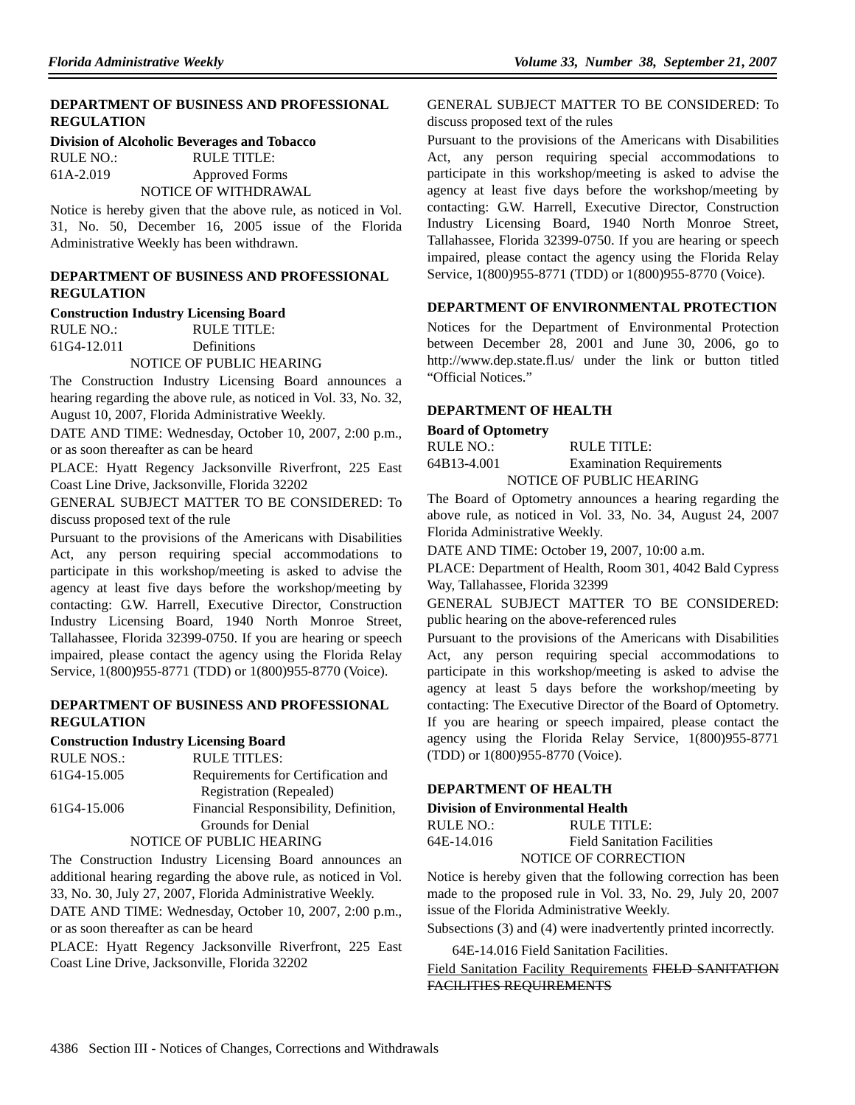## **DEPARTMENT OF BUSINESS AND PROFESSIONAL REGULATION**

#### **Division of Alcoholic Beverages and Tobacco**

RULE NO.: RULE TITLE: 61A-2.019 Approved Forms NOTICE OF WITHDRAWAL

Notice is hereby given that the above rule, as noticed in Vol. 31, No. 50, December 16, 2005 issue of the Florida Administrative Weekly has been withdrawn.

## **DEPARTMENT OF BUSINESS AND PROFESSIONAL REGULATION**

#### **Construction Industry Licensing Board**

RULE NO.: RULE TITLE: 61G4-12.011 Definitions NOTICE OF PUBLIC HEARING

The Construction Industry Licensing Board announces a hearing regarding the above rule, as noticed in Vol. 33, No. 32, August 10, 2007, Florida Administrative Weekly.

DATE AND TIME: Wednesday, October 10, 2007, 2:00 p.m., or as soon thereafter as can be heard

PLACE: Hyatt Regency Jacksonville Riverfront, 225 East Coast Line Drive, Jacksonville, Florida 32202

GENERAL SUBJECT MATTER TO BE CONSIDERED: To discuss proposed text of the rule

Pursuant to the provisions of the Americans with Disabilities Act, any person requiring special accommodations to participate in this workshop/meeting is asked to advise the agency at least five days before the workshop/meeting by contacting: G.W. Harrell, Executive Director, Construction Industry Licensing Board, 1940 North Monroe Street, Tallahassee, Florida 32399-0750. If you are hearing or speech impaired, please contact the agency using the Florida Relay Service, 1(800)955-8771 (TDD) or 1(800)955-8770 (Voice).

## **DEPARTMENT OF BUSINESS AND PROFESSIONAL REGULATION**

# **Construction Industry Licensing Board**

| <b>RULE NOS.:</b> | <b>RULE TITLES:</b>                   |
|-------------------|---------------------------------------|
| 61G4-15.005       | Requirements for Certification and    |
|                   | Registration (Repealed)               |
| 61G4-15.006       | Financial Responsibility, Definition, |
|                   | Grounds for Denial                    |
|                   | NOTICE OF PUBLIC HEARING              |

The Construction Industry Licensing Board announces an additional hearing regarding the above rule, as noticed in Vol. 33, No. 30, July 27, 2007, Florida Administrative Weekly.

DATE AND TIME: Wednesday, October 10, 2007, 2:00 p.m., or as soon thereafter as can be heard

PLACE: Hyatt Regency Jacksonville Riverfront, 225 East Coast Line Drive, Jacksonville, Florida 32202

## GENERAL SUBJECT MATTER TO BE CONSIDERED: To discuss proposed text of the rules

Pursuant to the provisions of the Americans with Disabilities Act, any person requiring special accommodations to participate in this workshop/meeting is asked to advise the agency at least five days before the workshop/meeting by contacting: G.W. Harrell, Executive Director, Construction Industry Licensing Board, 1940 North Monroe Street, Tallahassee, Florida 32399-0750. If you are hearing or speech impaired, please contact the agency using the Florida Relay Service, 1(800)955-8771 (TDD) or 1(800)955-8770 (Voice).

# **DEPARTMENT OF ENVIRONMENTAL PROTECTION**

Notices for the Department of Environmental Protection between December 28, 2001 and June 30, 2006, go to http://www.dep.state.fl.us/ under the link or button titled "Official Notices."

# **DEPARTMENT OF HEALTH**

## **Board of Optometry**

RULE NO.: RULE TITLE: 64B13-4.001 Examination Requirements NOTICE OF PUBLIC HEARING

The Board of Optometry announces a hearing regarding the above rule, as noticed in Vol. 33, No. 34, August 24, 2007 Florida Administrative Weekly.

DATE AND TIME: October 19, 2007, 10:00 a.m.

PLACE: Department of Health, Room 301, 4042 Bald Cypress Way, Tallahassee, Florida 32399

GENERAL SUBJECT MATTER TO BE CONSIDERED: public hearing on the above-referenced rules

Pursuant to the provisions of the Americans with Disabilities Act, any person requiring special accommodations to participate in this workshop/meeting is asked to advise the agency at least 5 days before the workshop/meeting by contacting: The Executive Director of the Board of Optometry. If you are hearing or speech impaired, please contact the agency using the Florida Relay Service, 1(800)955-8771 (TDD) or 1(800)955-8770 (Voice).

# **DEPARTMENT OF HEALTH**

## **Division of Environmental Health**

| RULE NO.:  | RULE TITLE:                        |
|------------|------------------------------------|
| 64E-14.016 | <b>Field Sanitation Facilities</b> |
|            | NOTICE OF CORRECTION               |

Notice is hereby given that the following correction has been made to the proposed rule in Vol. 33, No. 29, July 20, 2007 issue of the Florida Administrative Weekly.

Subsections (3) and (4) were inadvertently printed incorrectly.

64E-14.016 Field Sanitation Facilities.

Field Sanitation Facility Requirements FIELD SANITATION FACILITIES REQUIREMENTS